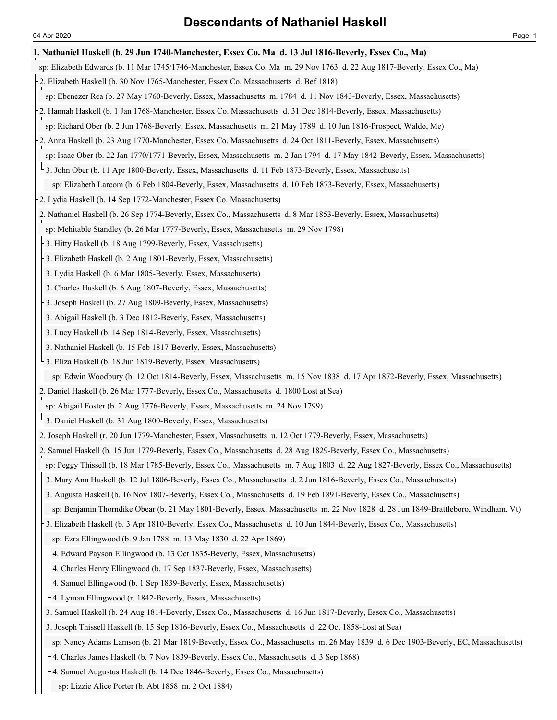## **1. Nathaniel Haskell (b. 29 Jun 1740-Manchester, Essex Co. Ma d. 13 Jul 1816-Beverly, Essex Co., Ma)**

- sp: Elizabeth Edwards (b. 11 Mar 1745/1746-Manchester, Essex Co. Ma m. 29 Nov 1763 d. 22 Aug 1817-Beverly, Essex Co., Ma)
- 2. Elizabeth Haskell (b. 30 Nov 1765-Manchester, Essex Co. Massachusetts d. Bef 1818)
- sp: Ebenezer Rea (b. 27 May 1760-Beverly, Essex, Massachusetts m. 1784 d. 11 Nov 1843-Beverly, Essex, Massachusetts)
- 2. Hannah Haskell (b. 1 Jan 1768-Manchester, Essex Co. Massachusetts d. 31 Dec 1814-Beverly, Essex, Massachusetts)
- sp: Richard Ober (b. 2 Jun 1768-Beverly, Essex, Massachusetts m. 21 May 1789 d. 10 Jun 1816-Prospect, Waldo, Me)
- 2. Anna Haskell (b. 23 Aug 1770-Manchester, Essex Co. Massachusetts d. 24 Oct 1811-Beverly, Essex, Massachusetts)
- sp: Isaac Ober (b. 22 Jan 1770/1771-Beverly, Essex, Massachusetts m. 2 Jan 1794 d. 17 May 1842-Beverly, Essex, Massachusetts)
- <sup>L</sup> 3. John Ober (b. 11 Apr 1800-Beverly, Essex, Massachusetts d. 11 Feb 1873-Beverly, Essex, Massachusetts)
	- sp: Elizabeth Larcom (b. 6 Feb 1804-Beverly, Essex, Massachusetts d. 10 Feb 1873-Beverly, Essex, Massachusetts)
- 2. Lydia Haskell (b. 14 Sep 1772-Manchester, Essex Co. Massachusetts)
- 2. Nathaniel Haskell (b. 26 Sep 1774-Beverly, Essex Co., Massachusetts d. 8 Mar 1853-Beverly, Essex, Massachusetts)

sp: Mehitable Standley (b. 26 Mar 1777-Beverly, Essex, Massachusetts m. 29 Nov 1798)

- 3. Hitty Haskell (b. 18 Aug 1799-Beverly, Essex, Massachusetts)
- 3. Elizabeth Haskell (b. 2 Aug 1801-Beverly, Essex, Massachusetts)
- 3. Lydia Haskell (b. 6 Mar 1805-Beverly, Essex, Massachusetts)
- 3. Charles Haskell (b. 6 Aug 1807-Beverly, Essex, Massachusetts)
- 3. Joseph Haskell (b. 27 Aug 1809-Beverly, Essex, Massachusetts)
- 3. Abigail Haskell (b. 3 Dec 1812-Beverly, Essex, Massachusetts)
- 3. Lucy Haskell (b. 14 Sep 1814-Beverly, Essex, Massachusetts)
- 3. Nathaniel Haskell (b. 15 Feb 1817-Beverly, Essex, Massachusetts)
- 3. Eliza Haskell (b. 18 Jun 1819-Beverly, Essex, Massachusetts)

sp: Edwin Woodbury (b. 12 Oct 1814-Beverly, Essex, Massachusetts m. 15 Nov 1838 d. 17 Apr 1872-Beverly, Essex, Massachusetts)

- 2. Daniel Haskell (b. 26 Mar 1777-Beverly, Essex Co., Massachusetts d. 1800 Lost at Sea)
- sp: Abigail Foster (b. 2 Aug 1776-Beverly, Essex, Massachusetts m. 24 Nov 1799)
- 3. Daniel Haskell (b. 31 Aug 1800-Beverly, Essex, Massachusetts)
- 2. Joseph Haskell (r. 20 Jun 1779-Manchester, Essex, Massachusetts u. 12 Oct 1779-Beverly, Essex, Massachusetts)
- 2. Samuel Haskell (b. 15 Jun 1779-Beverly, Essex Co., Massachusetts d. 28 Aug 1829-Beverly, Essex Co., Massachusetts)
- sp: Peggy Thissell (b. 18 Mar 1785-Beverly, Essex Co., Massachusetts m. 7 Aug 1803 d. 22 Aug 1827-Beverly, Essex Co., Massachusetts)
- 3. Mary Ann Haskell (b. 12 Jul 1806-Beverly, Essex Co., Massachusetts d. 2 Jun 1816-Beverly, Essex Co., Massachusetts)
- 3. Augusta Haskell (b. 16 Nov 1807-Beverly, Essex Co., Massachusetts d. 19 Feb 1891-Beverly, Essex Co., Massachusetts)
- sp: Benjamin Thorndike Obear (b. 21 May 1801-Beverly, Essex, Massachusetts m. 22 Nov 1828 d. 28 Jun 1849-Brattleboro, Windham, Vt)
- 3. Elizabeth Haskell (b. 3 Apr 1810-Beverly, Essex Co., Massachusetts d. 10 Jun 1844-Beverly, Essex Co., Massachusetts)
- sp: Ezra Ellingwood (b. 9 Jan 1788 m. 13 May 1830 d. 22 Apr 1869)
- 4. Edward Payson Ellingwood (b. 13 Oct 1835-Beverly, Essex, Massachusetts)
- 4. Charles Henry Ellingwood (b. 17 Sep 1837-Beverly, Essex, Massachusetts)
- 4. Samuel Ellingwood (b. 1 Sep 1839-Beverly, Essex, Massachusetts)
- $\overline{4}$ . Lyman Ellingwood (r. 1842-Beverly, Essex, Massachusetts)
- 3. Samuel Haskell (b. 24 Aug 1814-Beverly, Essex Co., Massachusetts d. 16 Jun 1817-Beverly, Essex Co., Massachusetts)
- 3. Joseph Thissell Haskell (b. 15 Sep 1816-Beverly, Essex Co., Massachusetts d. 22 Oct 1858-Lost at Sea)
- sp: Nancy Adams Lamson (b. 21 Mar 1819-Beverly, Essex Co., Massachusetts m. 26 May 1839 d. 6 Dec 1903-Beverly, EC, Massachusetts)
- 4. Charles James Haskell (b. 7 Nov 1839-Beverly, Essex Co., Massachusetts d. 3 Sep 1868)
- 4. Samuel Augustus Haskell (b. 14 Dec 1846-Beverly, Essex Co., Massachusetts)
- sp: Lizzie Alice Porter (b. Abt 1858 m. 2 Oct 1884)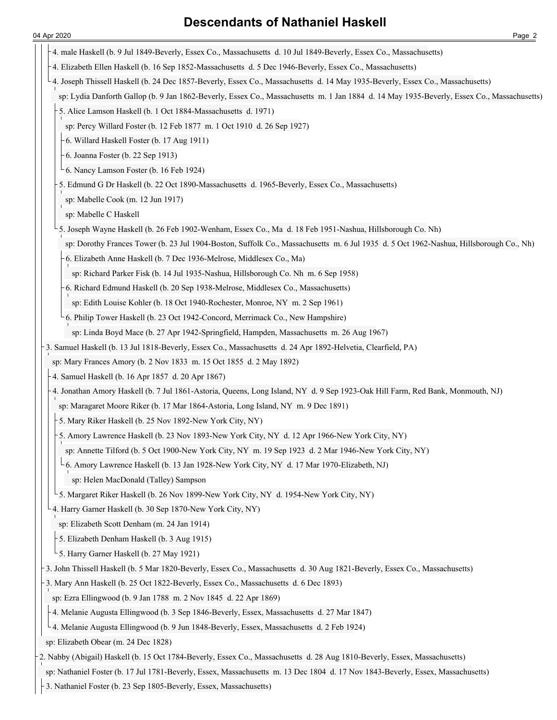- 4. male Haskell (b. 9 Jul 1849-Beverly, Essex Co., Massachusetts d. 10 Jul 1849-Beverly, Essex Co., Massachusetts) 4. Elizabeth Ellen Haskell (b. 16 Sep 1852-Massachusetts d. 5 Dec 1946-Beverly, Essex Co., Massachusetts) 4. Joseph Thissell Haskell (b. 24 Dec 1857-Beverly, Essex Co., Massachusetts d. 14 May 1935-Beverly, Essex Co., Massachusetts) sp: Lydia Danforth Gallop (b. 9 Jan 1862-Beverly, Essex Co., Massachusetts m. 1 Jan 1884 d. 14 May 1935-Beverly, Essex Co., Massachusetts) 5. Alice Lamson Haskell (b. 1 Oct 1884-Massachusetts d. 1971) sp: Percy Willard Foster (b. 12 Feb 1877 m. 1 Oct 1910 d. 26 Sep 1927) 6. Willard Haskell Foster (b. 17 Aug 1911) 6. Joanna Foster (b. 22 Sep 1913) 6. Nancy Lamson Foster (b. 16 Feb 1924) 5. Edmund G Dr Haskell (b. 22 Oct 1890-Massachusetts d. 1965-Beverly, Essex Co., Massachusetts) sp: Mabelle Cook (m. 12 Jun 1917) sp: Mabelle C Haskell 5. Joseph Wayne Haskell (b. 26 Feb 1902-Wenham, Essex Co., Ma d. 18 Feb 1951-Nashua, Hillsborough Co. Nh) sp: Dorothy Frances Tower (b. 23 Jul 1904-Boston, Suffolk Co., Massachusetts m. 6 Jul 1935 d. 5 Oct 1962-Nashua, Hillsborough Co., Nh) 6. Elizabeth Anne Haskell (b. 7 Dec 1936-Melrose, Middlesex Co., Ma) sp: Richard Parker Fisk (b. 14 Jul 1935-Nashua, Hillsborough Co. Nh m. 6 Sep 1958) 6. Richard Edmund Haskell (b. 20 Sep 1938-Melrose, Middlesex Co., Massachusetts) sp: Edith Louise Kohler (b. 18 Oct 1940-Rochester, Monroe, NY m. 2 Sep 1961) 6. Philip Tower Haskell (b. 23 Oct 1942-Concord, Merrimack Co., New Hampshire) sp: Linda Boyd Mace (b. 27 Apr 1942-Springfield, Hampden, Massachusetts m. 26 Aug 1967) 3. Samuel Haskell (b. 13 Jul 1818-Beverly, Essex Co., Massachusetts d. 24 Apr 1892-Helvetia, Clearfield, PA) sp: Mary Frances Amory (b. 2 Nov 1833 m. 15 Oct 1855 d. 2 May 1892) 4. Samuel Haskell (b. 16 Apr 1857 d. 20 Apr 1867) 4. Jonathan Amory Haskell (b. 7 Jul 1861-Astoria, Queens, Long Island, NY d. 9 Sep 1923-Oak Hill Farm, Red Bank, Monmouth, NJ) sp: Maragaret Moore Riker (b. 17 Mar 1864-Astoria, Long Island, NY m. 9 Dec 1891) 5. Mary Riker Haskell (b. 25 Nov 1892-New York City, NY) 5. Amory Lawrence Haskell (b. 23 Nov 1893-New York City, NY d. 12 Apr 1966-New York City, NY) sp: Annette Tilford (b. 5 Oct 1900-New York City, NY m. 19 Sep 1923 d. 2 Mar 1946-New York City, NY) 6. Amory Lawrence Haskell (b. 13 Jan 1928-New York City, NY d. 17 Mar 1970-Elizabeth, NJ) sp: Helen MacDonald (Talley) Sampson <sup>L</sup> 5. Margaret Riker Haskell (b. 26 Nov 1899-New York City, NY d. 1954-New York City, NY) 4. Harry Garner Haskell (b. 30 Sep 1870-New York City, NY) sp: Elizabeth Scott Denham (m. 24 Jan 1914) 5. Elizabeth Denham Haskell (b. 3 Aug 1915) 5. Harry Garner Haskell (b. 27 May 1921) 3. John Thissell Haskell (b. 5 Mar 1820-Beverly, Essex Co., Massachusetts d. 30 Aug 1821-Beverly, Essex Co., Massachusetts) 3. Mary Ann Haskell (b. 25 Oct 1822-Beverly, Essex Co., Massachusetts d. 6 Dec 1893) sp: Ezra Ellingwood (b. 9 Jan 1788 m. 2 Nov 1845 d. 22 Apr 1869) 4. Melanie Augusta Ellingwood (b. 3 Sep 1846-Beverly, Essex, Massachusetts d. 27 Mar 1847) 4. Melanie Augusta Ellingwood (b. 9 Jun 1848-Beverly, Essex, Massachusetts d. 2 Feb 1924) sp: Elizabeth Obear (m. 24 Dec 1828) 2. Nabby (Abigail) Haskell (b. 15 Oct 1784-Beverly, Essex Co., Massachusetts d. 28 Aug 1810-Beverly, Essex, Massachusetts) sp: Nathaniel Foster (b. 17 Jul 1781-Beverly, Essex, Massachusetts m. 13 Dec 1804 d. 17 Nov 1843-Beverly, Essex, Massachusetts)
- 3. Nathaniel Foster (b. 23 Sep 1805-Beverly, Essex, Massachusetts)